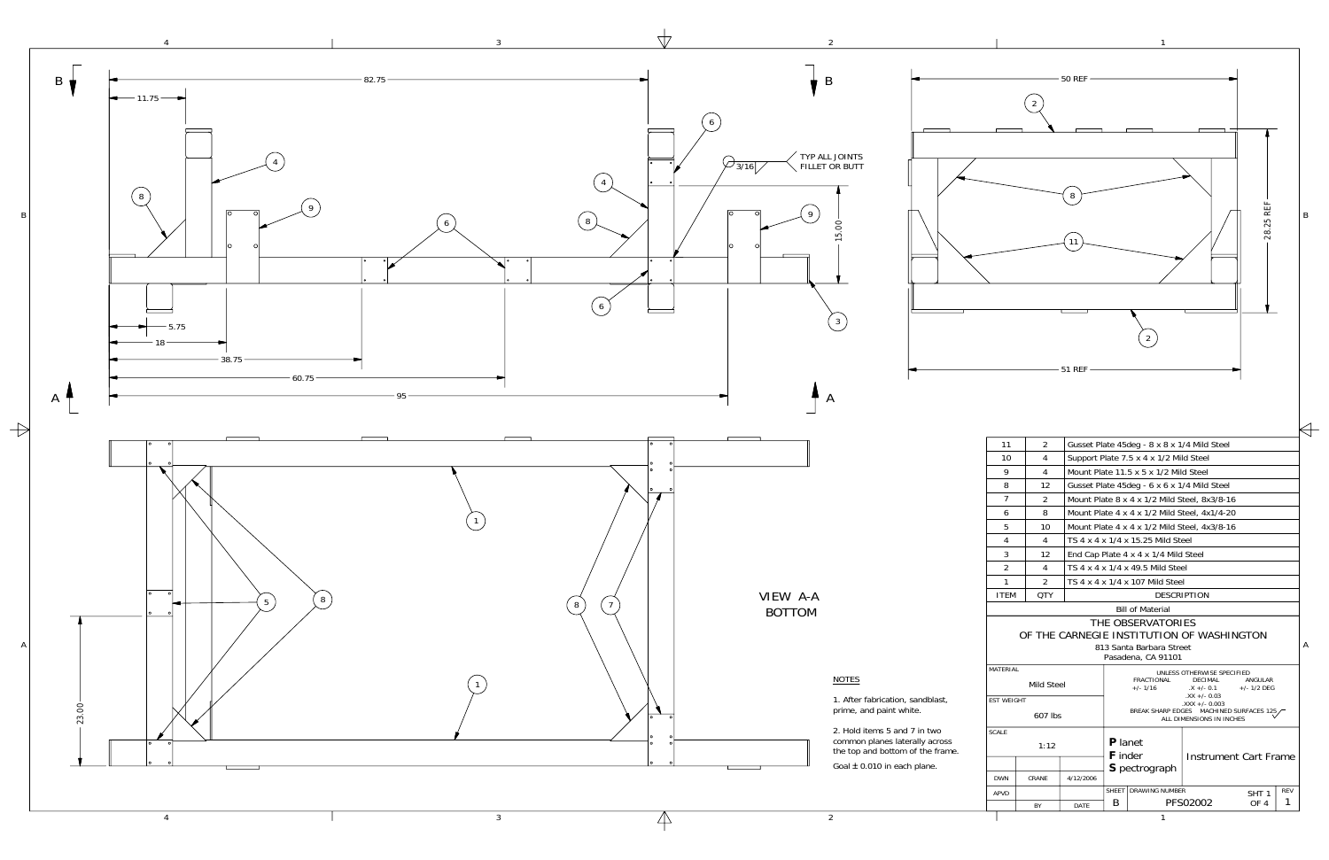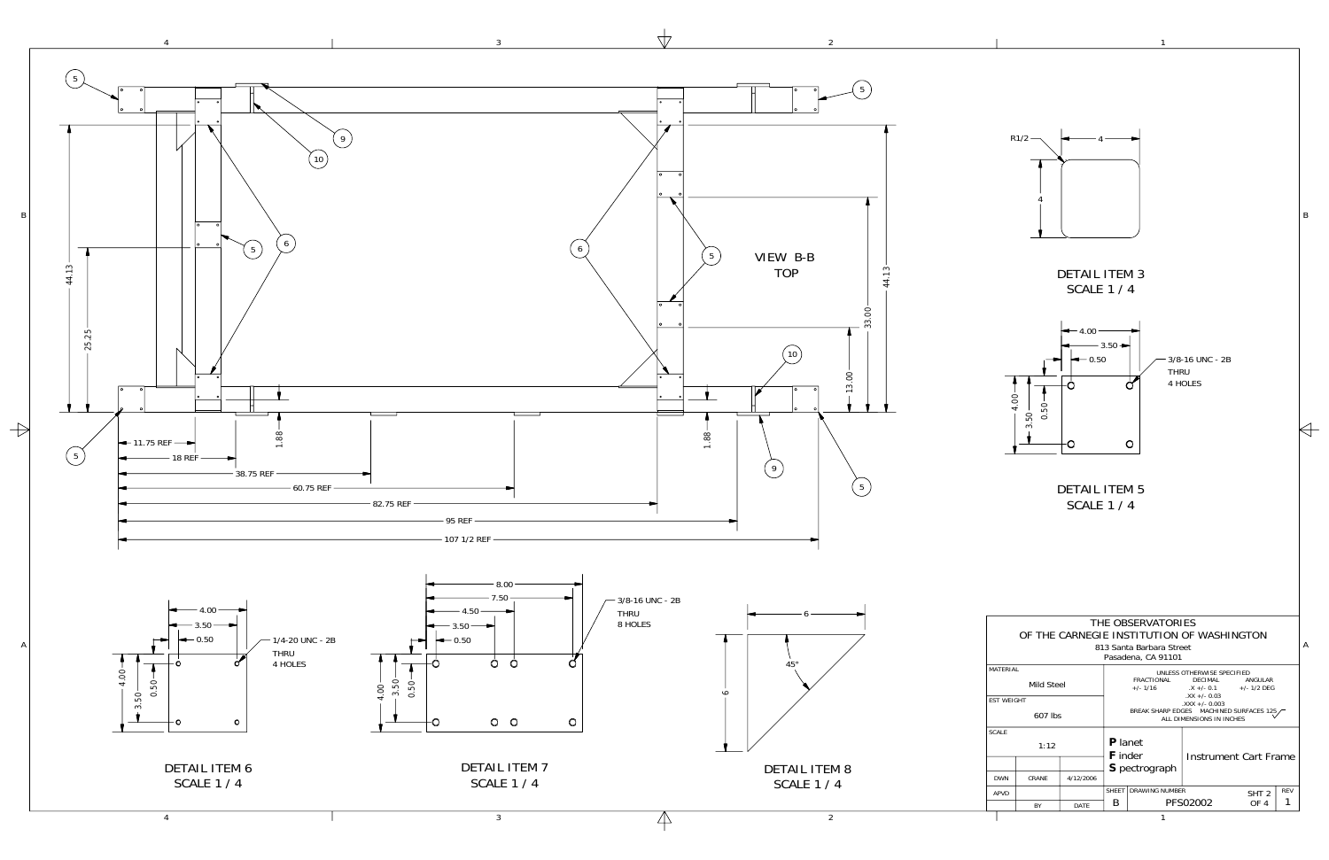1



3

A

| THE OBSERVATORIES                                                     |            |           |                                                                     |                                 |                                                              |                  |            |  |  |  |  |  |  |
|-----------------------------------------------------------------------|------------|-----------|---------------------------------------------------------------------|---------------------------------|--------------------------------------------------------------|------------------|------------|--|--|--|--|--|--|
| OF THE CARNEGIE INSTITUTION OF WASHINGTON<br>813 Santa Barbara Street |            |           |                                                                     |                                 |                                                              |                  |            |  |  |  |  |  |  |
| Pasadena, CA 91101                                                    |            |           |                                                                     |                                 |                                                              |                  |            |  |  |  |  |  |  |
| <b>MATFRIAL</b>                                                       |            |           | UNLESS OTHERWISE SPECIFIED                                          |                                 |                                                              |                  |            |  |  |  |  |  |  |
|                                                                       | Mild Steel |           |                                                                     | <b>FRACTIONAL</b><br>$+/- 1/16$ | <b>DECIMAL</b><br>$X + (-0.1 + (-1/2)$ DEG<br>$.XX +/- 0.03$ | ANGUI AR         |            |  |  |  |  |  |  |
| <b>FST WFIGHT</b>                                                     |            |           | $.XXX +/- 0.003$                                                    |                                 |                                                              |                  |            |  |  |  |  |  |  |
| 607 lbs                                                               |            |           | BREAK SHARP EDGES MACHINED SURFACES 125<br>ALL DIMENSIONS IN INCHES |                                 |                                                              |                  |            |  |  |  |  |  |  |
| <b>SCALE</b>                                                          |            |           |                                                                     |                                 |                                                              |                  |            |  |  |  |  |  |  |
|                                                                       | 1:12       |           | <b>P</b> lanet<br><b>F</b> inder                                    |                                 |                                                              |                  |            |  |  |  |  |  |  |
|                                                                       |            |           |                                                                     | <b>S</b> pectrograph            | Instrument Cart Frame                                        |                  |            |  |  |  |  |  |  |
| <b>DWN</b>                                                            | CRANF      | 4/12/2006 |                                                                     |                                 |                                                              |                  |            |  |  |  |  |  |  |
| APVD                                                                  |            |           | <b>SHEFT</b>                                                        | <b>DRAWING NUMBER</b>           |                                                              | SHT <sub>2</sub> | <b>REV</b> |  |  |  |  |  |  |
|                                                                       | BY         | DATF      | B                                                                   |                                 | PFS02002<br>OF <sub>4</sub>                                  |                  |            |  |  |  |  |  |  |
|                                                                       |            |           |                                                                     |                                 |                                                              |                  |            |  |  |  |  |  |  |

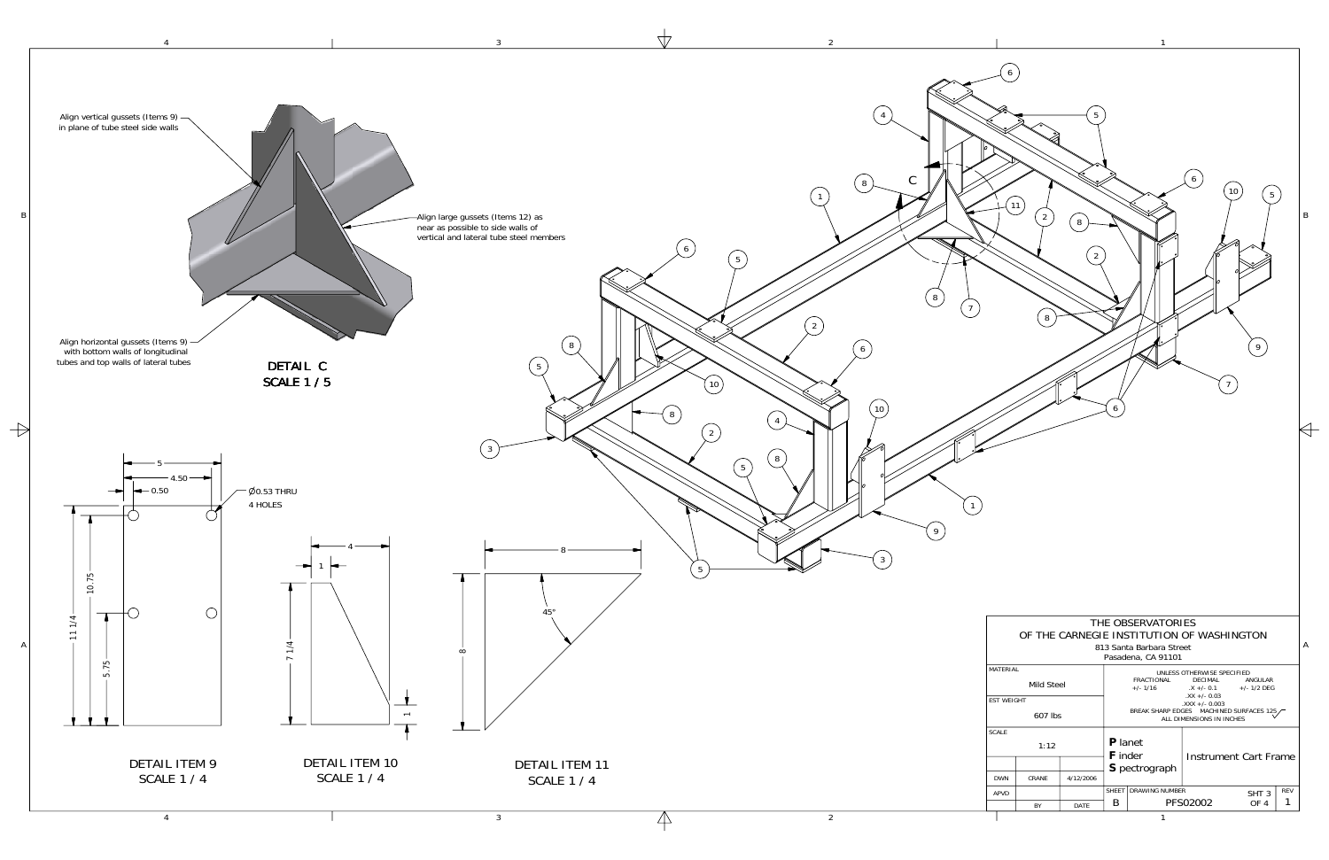

A

B